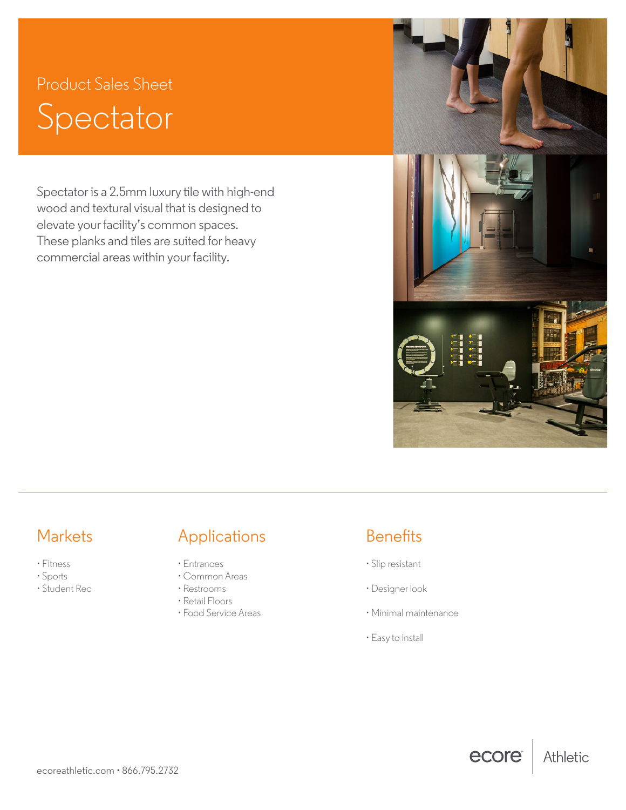# Product Sales Sheet Spectator

Spectator is a 2.5mm luxury tile with high-end wood and textural visual that is designed to elevate your facility's common spaces. These planks and tiles are suited for heavy commercial areas within your facility.



ecore

Athletic

- Fitness
- Sports
- Student Rec

## Markets **Applications** Benefits

- Entrances
- Common Areas
- Restrooms
- Retail Floors
- Food Service Areas

- Slip resistant
- Designer look
- Minimal maintenance
- Easy to install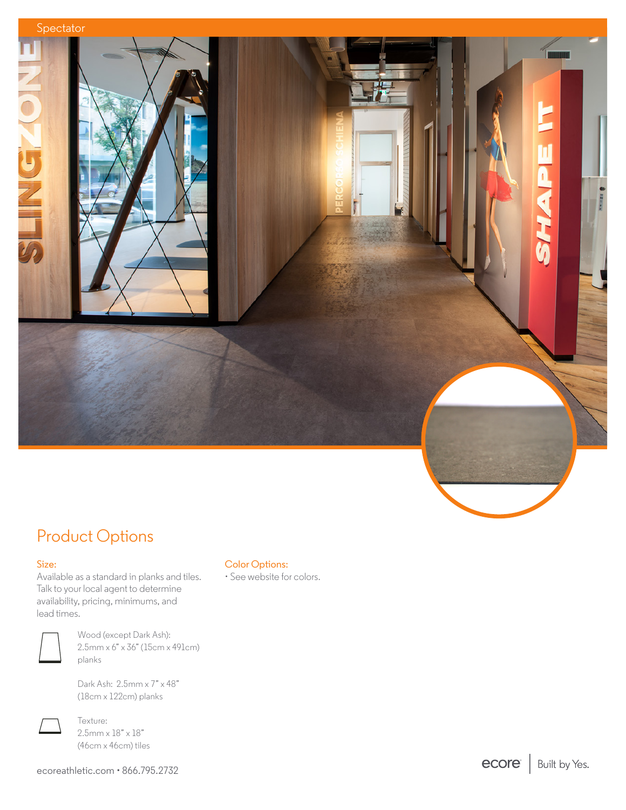

## Product Options

#### Size:

Available as a standard in planks and tiles. Talk to your local agent to determine availability, pricing, minimums, and lead times.



Wood (except Dark Ash): 2.5mm x 6" x 36" (15cm x 491cm) planks

Dark Ash: 2.5mm x 7" x 48" (18cm x 122cm) planks



Texture:  $2.5$ mm x  $18" \times 18"$ (46cm x 46cm) tiles

ecoreathletic.com • 866.795.2732

### Color Options:

• See website for colors.